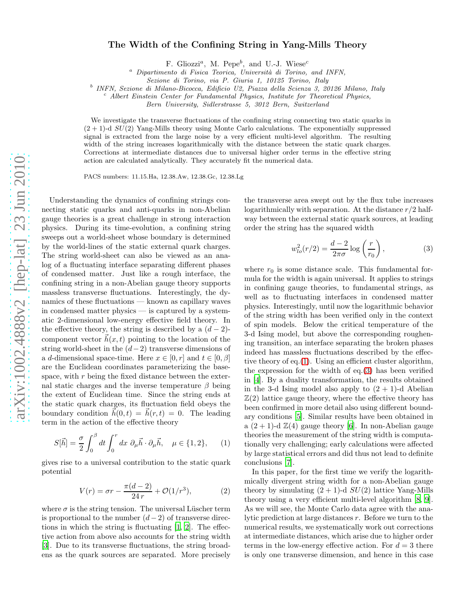## The Width of the Confining String in Yang-Mills Theory

F. Gliozzi<sup>a</sup>, M. Pepe<sup>b</sup>, and U.-J. Wiese<sup>c</sup>

 $a$  Dipartimento di Fisica Teorica, Università di Torino, and INFN,

b INFN, Sezione di Milano-Bicocca, Edificio U2, Piazza della Scienza 3, 20126 Milano, Italy

 $c$  Albert Einstein Center for Fundamental Physics, Institute for Theoretical Physics,

Bern University, Sidlerstrasse 5, 3012 Bern, Switzerland

We investigate the transverse fluctuations of the confining string connecting two static quarks in  $(2 + 1)$ -d  $SU(2)$  Yang-Mills theory using Monte Carlo calculations. The exponentially suppressed signal is extracted from the large noise by a very efficient multi-level algorithm. The resulting width of the string increases logarithmically with the distance between the static quark charges. Corrections at intermediate distances due to universal higher order terms in the effective string action are calculated analytically. They accurately fit the numerical data.

PACS numbers: 11.15.Ha, 12.38.Aw, 12.38.Gc, 12.38.Lg

Understanding the dynamics of confining strings connecting static quarks and anti-quarks in non-Abelian gauge theories is a great challenge in strong interaction physics. During its time-evolution, a confining string sweeps out a world-sheet whose boundary is determined by the world-lines of the static external quark charges. The string world-sheet can also be viewed as an analog of a fluctuating interface separating different phases of condensed matter. Just like a rough interface, the confining string in a non-Abelian gauge theory supports massless transverse fluctuations. Interestingly, the dynamics of these fluctuations — known as capillary waves in condensed matter physics — is captured by a systematic 2-dimensional low-energy effective field theory. In the effective theory, the string is described by a  $(d-2)$ component vector  $\dot{h}(x, t)$  pointing to the location of the string world-sheet in the  $(d-2)$  transverse dimensions of a d-dimensional space-time. Here  $x \in [0, r]$  and  $t \in [0, \beta]$ are the Euclidean coordinates parameterizing the basespace, with  $r$  being the fixed distance between the external static charges and the inverse temperature  $\beta$  being the extent of Euclidean time. Since the string ends at the static quark charges, its fluctuation field obeys the boundary condition  $h(0, t) = h(r, t) = 0$ . The leading term in the action of the effective theory

<span id="page-0-0"></span>
$$
S[\vec{h}] = \frac{\sigma}{2} \int_0^\beta dt \int_0^r dx \ \partial_\mu \vec{h} \cdot \partial_\mu \vec{h}, \quad \mu \in \{1, 2\}, \qquad (1)
$$

gives rise to a universal contribution to the static quark potential

$$
V(r) = \sigma r - \frac{\pi(d-2)}{24r} + \mathcal{O}(1/r^3),
$$
 (2)

where  $\sigma$  is the string tension. The universal Lüscher term is proportional to the number  $(d-2)$  of transverse directions in which the string is fluctuating  $[1, 2]$  $[1, 2]$  $[1, 2]$ . The effective action from above also accounts for the string width [\[3\]](#page-3-2). Due to its transverse fluctuations, the string broadens as the quark sources are separated. More precisely

the transverse area swept out by the flux tube increases logarithmically with separation. At the distance  $r/2$  halfway between the external static quark sources, at leading order the string has the squared width

<span id="page-0-1"></span>
$$
w_{lo}^2(r/2) = \frac{d-2}{2\pi\sigma} \log\left(\frac{r}{r_0}\right),\tag{3}
$$

where  $r_0$  is some distance scale. This fundamental formula for the width is again universal. It applies to strings in confining gauge theories, to fundamental strings, as well as to fluctuating interfaces in condensed matter physics. Interestingly, until now the logarithmic behavior of the string width has been verified only in the context of spin models. Below the critical temperature of the 3-d Ising model, but above the corresponding roughening transition, an interface separating the broken phases indeed has massless fluctuations described by the effective theory of eq.[\(1\)](#page-0-0). Using an efficient cluster algorithm, the expression for the width of eq.[\(3\)](#page-0-1) has been verified in [\[4](#page-3-3)]. By a duality transformation, the results obtained in the 3-d Ising model also apply to  $(2 + 1)$ -d Abelian  $\mathbb{Z}(2)$  lattice gauge theory, where the effective theory has been confirmed in more detail also using different boundary conditions [\[5\]](#page-3-4). Similar results have been obtained in a  $(2 + 1)$ -d  $\mathbb{Z}(4)$  gauge theory [\[6\]](#page-3-5). In non-Abelian gauge theories the measurement of the string width is computationally very challenging; early calculations were affected by large statistical errors and did thus not lead to definite conclusions [\[7\]](#page-3-6).

In this paper, for the first time we verify the logarithmically divergent string width for a non-Abelian gauge theory by simulating  $(2 + 1)$ -d  $SU(2)$  lattice Yang-Mills theory using a very efficient multi-level algorithm [\[8](#page-3-7), [9\]](#page-3-8). As we will see, the Monte Carlo data agree with the analytic prediction at large distances r. Before we turn to the numerical results, we systematically work out corrections at intermediate distances, which arise due to higher order terms in the low-energy effective action. For  $d = 3$  there is only one transverse dimension, and hence in this case

Sezione di Torino, via P. Giuria 1, 10125 Torino, Italy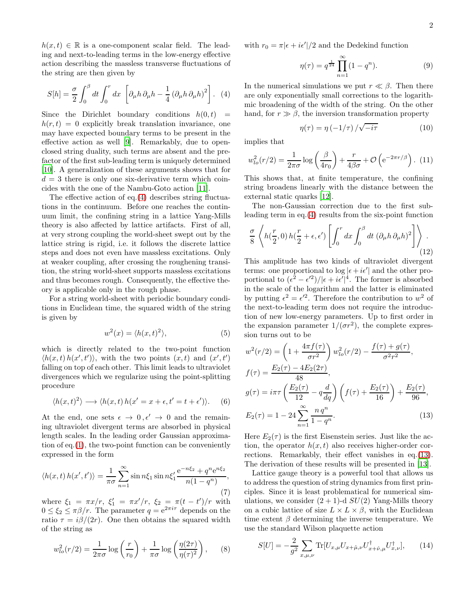$h(x, t) \in \mathbb{R}$  is a one-component scalar field. The leading and next-to-leading terms in the low-energy effective action describing the massless transverse fluctuations of the string are then given by

<span id="page-1-0"></span>
$$
S[h] = \frac{\sigma}{2} \int_0^\beta dt \int_0^r dx \, \left[ \partial_\mu h \, \partial_\mu h - \frac{1}{4} \left( \partial_\mu h \, \partial_\mu h \right)^2 \right]. \tag{4}
$$

Since the Dirichlet boundary conditions  $h(0, t)$  =  $h(r, t) = 0$  explicitly break translation invariance, one may have expected boundary terms to be present in the effective action as well [\[9\]](#page-3-8). Remarkably, due to openclosed string duality, such terms are absent and the prefactor of the first sub-leading term is uniquely determined [\[10\]](#page-3-9). A generalization of these arguments shows that for  $d = 3$  there is only one six-derivative term which coincides with the one of the Nambu-Goto action [\[11\]](#page-3-10).

The effective action of eq.[\(4\)](#page-1-0) describes string fluctuations in the continuum. Before one reaches the continuum limit, the confining string in a lattice Yang-Mills theory is also affected by lattice artifacts. First of all, at very strong coupling the world-sheet swept out by the lattice string is rigid, i.e. it follows the discrete lattice steps and does not even have massless excitations. Only at weaker coupling, after crossing the roughening transition, the string world-sheet supports massless excitations and thus becomes rough. Consequently, the effective theory is applicable only in the rough phase.

For a string world-sheet with periodic boundary conditions in Euclidean time, the squared width of the string is given by

$$
w^2(x) = \langle h(x, t)^2 \rangle,\tag{5}
$$

which is directly related to the two-point function  $\langle h(x,t) h(x',t') \rangle$ , with the two points  $(x,t)$  and  $(x',t')$ falling on top of each other. This limit leads to ultraviolet divergences which we regularize using the point-splitting procedure

$$
\langle h(x,t)^2 \rangle \longrightarrow \langle h(x,t) \, h(x'=x+\epsilon, t'=t+\epsilon') \rangle. \tag{6}
$$

At the end, one sets  $\epsilon \to 0, \epsilon' \to 0$  and the remaining ultraviolet divergent terms are absorbed in physical length scales. In the leading order Gaussian approximation of eq.[\(1\)](#page-0-0), the two-point function can be conveniently expressed in the form

$$
\langle h(x,t) h(x',t') \rangle = \frac{1}{\pi \sigma} \sum_{n=1}^{\infty} \sin n\xi_1 \sin n\xi_1' \frac{e^{-n\xi_2} + q^n e^{n\xi_2}}{n(1-q^n)},
$$
\n(7)

where  $\xi_1 = \pi x/r$ ,  $\xi'_1 = \pi x'/r$ ,  $\xi_2 = \pi (t - t')/r$  with  $0 \leq \xi_2 \leq \pi \beta/r$ . The parameter  $q = e^{2\pi i \tau}$  depends on the ratio  $\tau = i\beta/(2r)$ . One then obtains the squared width of the string as

$$
w_{lo}^2(r/2) = \frac{1}{2\pi\sigma} \log\left(\frac{r}{r_0}\right) + \frac{1}{\pi\sigma} \log\left(\frac{\eta(2\tau)}{\eta(\tau)^2}\right),\qquad(8)
$$

with  $r_0 = \pi |\epsilon + i\epsilon'|/2$  and the Dedekind function

$$
\eta(\tau) = q^{\frac{1}{24}} \prod_{n=1}^{\infty} (1 - q^n). \tag{9}
$$

In the numerical simulations we put  $r \ll \beta$ . Then there are only exponentially small corrections to the logarithmic broadening of the width of the string. On the other hand, for  $r \gg \beta$ , the inversion transformation property

$$
\eta(\tau) = \eta\left(-1/\tau\right)/\sqrt{-i\tau} \tag{10}
$$

implies that

$$
w_{lo}^2(r/2) = \frac{1}{2\pi\sigma} \log\left(\frac{\beta}{4r_0}\right) + \frac{r}{4\beta\sigma} + \mathcal{O}\left(e^{-2\pi r/\beta}\right). (11)
$$

This shows that, at finite temperature, the confining string broadens linearly with the distance between the external static quarks [\[12\]](#page-3-11).

The non-Gaussian correction due to the first subleading term in eq.[\(4\)](#page-1-0) results from the six-point function

$$
\frac{\sigma}{8} \left\langle h(\frac{r}{2}, 0) h(\frac{r}{2} + \epsilon, \epsilon') \left[ \int_0^r dx \int_0^\beta dt \ (\partial_\mu h \ \partial_\mu h)^2 \right] \right\rangle \tag{12}
$$

This amplitude has two kinds of ultraviolet divergent terms: one proportional to  $\log |\epsilon + i\epsilon'|$  and the other proportional to  $(\epsilon^2 - \epsilon'^2)/|\epsilon + i\epsilon'|^4$ . The former is absorbed in the scale of the logarithm and the latter is eliminated by putting  $\epsilon^2 = \epsilon'^2$ . Therefore the contribution to  $w^2$  of the next-to-leading term does not require the introduction of new low-energy parameters. Up to first order in the expansion parameter  $1/(\sigma r^2)$ , the complete expression turns out to be

<span id="page-1-1"></span>
$$
w^{2}(r/2) = \left(1 + \frac{4\pi f(\tau)}{\sigma r^{2}}\right) w_{lo}^{2}(r/2) - \frac{f(\tau) + g(\tau)}{\sigma^{2}r^{2}},
$$
  
\n
$$
f(\tau) = \frac{E_{2}(\tau) - 4E_{2}(2\tau)}{48},
$$
  
\n
$$
g(\tau) = i\pi \tau \left(\frac{E_{2}(\tau)}{12} - q\frac{d}{dq}\right) \left(f(\tau) + \frac{E_{2}(\tau)}{16}\right) + \frac{E_{2}(\tau)}{96},
$$
  
\n
$$
E_{2}(\tau) = 1 - 24 \sum_{n=1}^{\infty} \frac{n \, q^{n}}{1 - q^{n}}.
$$
\n(13)

Here  $E_2(\tau)$  is the first Eisenstein series. Just like the action, the operator  $h(x, t)$  also receives higher-order corrections. Remarkably, their effect vanishes in eq.[\(13\)](#page-1-1). The derivation of these results will be presented in [\[13](#page-3-12)].

Lattice gauge theory is a powerful tool that allows us to address the question of string dynamics from first principles. Since it is least problematical for numerical simulations, we consider  $(2 + 1)$ -d  $SU(2)$  Yang-Mills theory on a cubic lattice of size  $L \times L \times \beta$ , with the Euclidean time extent  $\beta$  determining the inverse temperature. We use the standard Wilson plaquette action

$$
S[U] = -\frac{2}{g^2} \sum_{x,\mu,\nu} \text{Tr}[U_{x,\mu} U_{x+\hat{\mu},\nu} U_{x+\hat{\nu},\mu}^\dagger U_{x,\nu}^\dagger],\qquad(14)
$$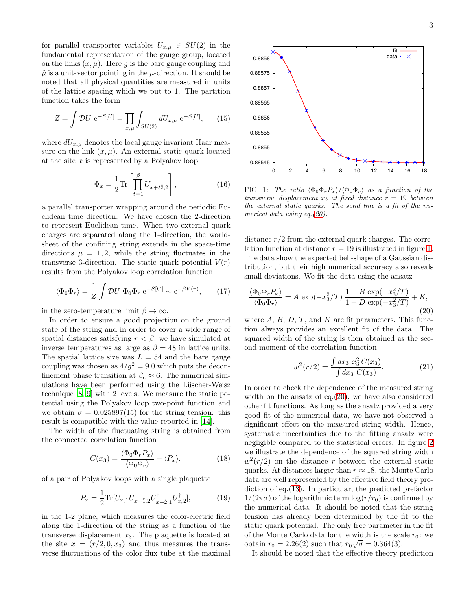for parallel transporter variables  $U_{x,\mu} \in SU(2)$  in the fundamental representation of the gauge group, located on the links  $(x, \mu)$ . Here g is the bare gauge coupling and  $\hat{\mu}$  is a unit-vector pointing in the  $\mu$ -direction. It should be noted that all physical quantities are measured in units of the lattice spacing which we put to 1. The partition function takes the form

$$
Z = \int \mathcal{D}U \, \, \mathrm{e}^{-S[U]} = \prod_{x,\mu} \int_{SU(2)} dU_{x,\mu} \, \mathrm{e}^{-S[U]},\qquad(15)
$$

where  $dU_{x,\mu}$  denotes the local gauge invariant Haar measure on the link  $(x, \mu)$ . An external static quark located at the site  $x$  is represented by a Polyakov loop

$$
\Phi_x = \frac{1}{2} \text{Tr} \left[ \prod_{t=1}^{\beta} U_{x+t\hat{2},2} \right],\tag{16}
$$

a parallel transporter wrapping around the periodic Euclidean time direction. We have chosen the 2-direction to represent Euclidean time. When two external quark charges are separated along the 1-direction, the worldsheet of the confining string extends in the space-time directions  $\mu = 1, 2$ , while the string fluctuates in the transverse 3-direction. The static quark potential  $V(r)$ results from the Polyakov loop correlation function

$$
\langle \Phi_0 \Phi_r \rangle = \frac{1}{Z} \int \mathcal{D}U \ \Phi_0 \Phi_r \ \mathrm{e}^{-S[U]} \sim \mathrm{e}^{-\beta V(r)},\tag{17}
$$

in the zero-temperature limit  $\beta \to \infty$ .

In order to ensure a good projection on the ground state of the string and in order to cover a wide range of spatial distances satisfying  $r < \beta$ , we have simulated at inverse temperatures as large as  $\beta = 48$  in lattice units. The spatial lattice size was  $L = 54$  and the bare gauge coupling was chosen as  $4/g^2 = 9.0$  which puts the deconfinement phase transition at  $\beta_c \approx 6$ . The numerical simulations have been performed using the Lüscher-Weisz technique [\[8,](#page-3-7) [9\]](#page-3-8) with 2 levels. We measure the static potential using the Polyakov loop two-point function and we obtain  $\sigma = 0.025897(15)$  for the string tension: this result is compatible with the value reported in [\[14\]](#page-3-13).

The width of the fluctuating string is obtained from the connected correlation function

<span id="page-2-2"></span>
$$
C(x_3) = \frac{\langle \Phi_0 \Phi_r P_x \rangle}{\langle \Phi_0 \Phi_r \rangle} - \langle P_x \rangle, \tag{18}
$$

of a pair of Polyakov loops with a single plaquette

$$
P_x = \frac{1}{2} \text{Tr}[U_{x,1} U_{x+\hat{1},2} U_{x+\hat{2},1}^\dagger U_{x,2}^\dagger],\tag{19}
$$

in the 1-2 plane, which measures the color-electric field along the 1-direction of the string as a function of the transverse displacement  $x_3$ . The plaquette is located at the site  $x = (r/2, 0, x_3)$  and thus measures the transverse fluctuations of the color flux tube at the maximal



FIG. 1: The ratio  $\langle \Phi_0 \Phi_r P_x \rangle / \langle \Phi_0 \Phi_r \rangle$  as a function of the transverse displacement  $x_3$  at fixed distance  $r = 19$  between the external static quarks. The solid line is a fit of the numerical data using eq.[\(20\)](#page-2-0).

<span id="page-2-1"></span>0 2 4 6 8 10 12 14 16 18

distance  $r/2$  from the external quark charges. The correlation function at distance  $r = 19$  is illustrated in figure [1.](#page-2-1) The data show the expected bell-shape of a Gaussian distribution, but their high numerical accuracy also reveals small deviations. We fit the data using the ansatz

<span id="page-2-0"></span>
$$
\frac{\langle \Phi_0 \Phi_r P_x \rangle}{\langle \Phi_0 \Phi_r \rangle} = A \exp(-x_3^2/T) \frac{1+B \exp(-x_3^2/T)}{1+D \exp(-x_3^2/T)} + K,
$$
\n(20)

where  $A, B, D, T$ , and  $K$  are fit parameters. This function always provides an excellent fit of the data. The squared width of the string is then obtained as the second moment of the correlation function

$$
w^{2}(r/2) = \frac{\int dx_{3} x_{3}^{2} C(x_{3})}{\int dx_{3} C(x_{3})}.
$$
 (21)

In order to check the dependence of the measured string width on the ansatz of eq.[\(20\)](#page-2-0), we have also considered other fit functions. As long as the ansatz provided a very good fit of the numerical data, we have not observed a significant effect on the measured string width. Hence, systematic uncertainties due to the fitting ansatz were negligible compared to the statistical errors. In figure [2](#page-3-14) we illustrate the dependence of the squared string width  $w^2(r/2)$  on the distance r between the external static quarks. At distances larger than  $r \approx 18$ , the Monte Carlo data are well represented by the effective field theory prediction of eq.[\(13\)](#page-1-1). In particular, the predicted prefactor  $1/(2\pi\sigma)$  of the logarithmic term  $\log(r/r_0)$  is confirmed by the numerical data. It should be noted that the string tension has already been determined by the fit to the static quark potential. The only free parameter in the fit of the Monte Carlo data for the width is the scale  $r_0$ : we obtain  $r_0 = 2.26(2)$  such that  $r_0\sqrt{\sigma} = 0.364(3)$ .

It should be noted that the effective theory prediction